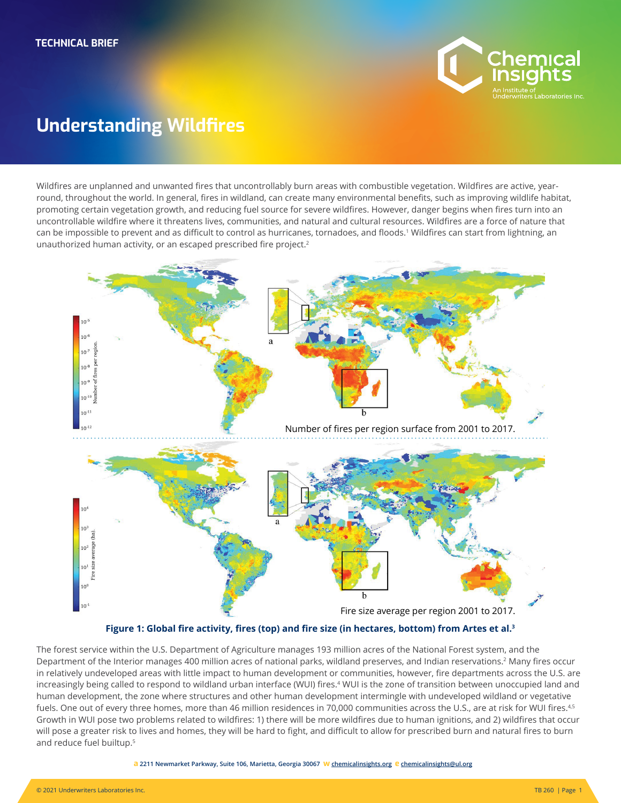

# **Understanding Wildfires**

Wildfires are unplanned and unwanted fires that uncontrollably burn areas with combustible vegetation. Wildfires are active, yearround, throughout the world. In general, fires in wildland, can create many environmental benefits, such as improving wildlife habitat, promoting certain vegetation growth, and reducing fuel source for severe wildfires. However, danger begins when fires turn into an uncontrollable wildfire where it threatens lives, communities, and natural and cultural resources. Wildfires are a force of nature that can be impossible to prevent and as difficult to control as hurricanes, tornadoes, and floods.<sup>1</sup> Wildfires can start from lightning, an unauthorized human activity, or an escaped prescribed fire project.<sup>2</sup>



**Figure 1: Global fire activity, fires (top) and fire size (in hectares, bottom) from Artes et al.<sup>3</sup>**

The forest service within the U.S. Department of Agriculture manages 193 million acres of the National Forest system, and the Department of the Interior manages 400 million acres of national parks, wildland preserves, and Indian reservations.<sup>2</sup> Many fires occur in relatively undeveloped areas with little impact to human development or communities, however, fire departments across the U.S. are increasingly being called to respond to wildland urban interface (WUI) fires.<sup>4</sup> WUI is the zone of transition between unoccupied land and human development, the zone where structures and other human development intermingle with undeveloped wildland or vegetative fuels. One out of every three homes, more than 46 million residences in 70,000 communities across the U.S., are at risk for WUI fires.<sup>4,5</sup> Growth in WUI pose two problems related to wildfires: 1) there will be more wildfires due to human ignitions, and 2) wildfires that occur will pose a greater risk to lives and homes, they will be hard to fight, and difficult to allow for prescribed burn and natural fires to burn and reduce fuel builtup.5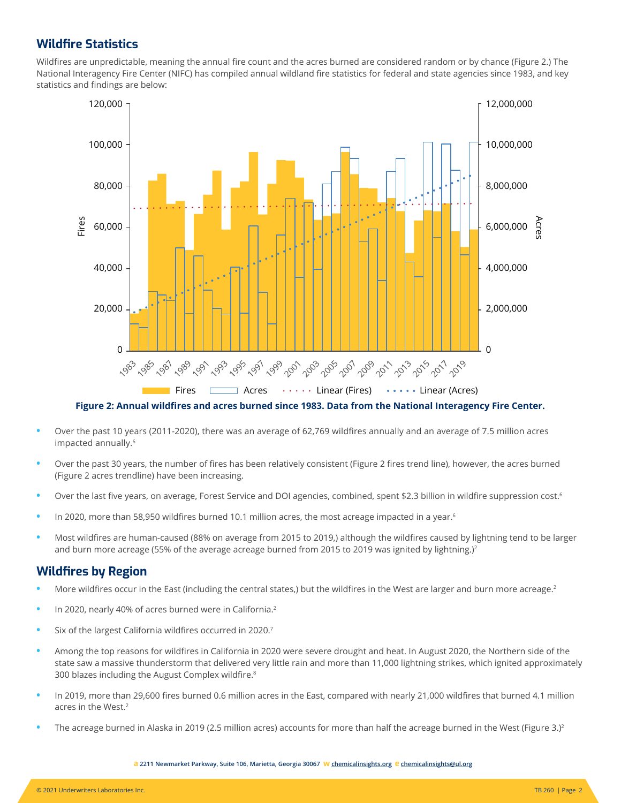## **Wildfire Statistics**

Wildfires are unpredictable, meaning the annual fire count and the acres burned are considered random or by chance (Figure 2.) The National Interagency Fire Center (NIFC) has compiled annual wildland fire statistics for federal and state agencies since 1983, and key statistics and findings are below:



**Figure 2: Annual wildfires and acres burned since 1983. Data from the National Interagency Fire Center.**

- **•** Over the past 10 years (2011-2020), there was an average of 62,769 wildfires annually and an average of 7.5 million acres impacted annually.<sup>6</sup>
- **•** Over the past 30 years, the number of fires has been relatively consistent (Figure 2 fires trend line), however, the acres burned (Figure 2 acres trendline) have been increasing.
- Over the last five years, on average, Forest Service and DOI agencies, combined, spent \$2.3 billion in wildfire suppression cost.<sup>6</sup>
- **•** In 2020, more than 58,950 wildfires burned 10.1 million acres, the most acreage impacted in a year.<sup>6</sup>
- **•** Most wildfires are human-caused (88% on average from 2015 to 2019,) although the wildfires caused by lightning tend to be larger and burn more acreage (55% of the average acreage burned from 2015 to 2019 was ignited by lightning.)<sup>2</sup>

## **Wildfires by Region**

- **•** More wildfires occur in the East (including the central states,) but the wildfires in the West are larger and burn more acreage.<sup>2</sup>
- **•** In 2020, nearly 40% of acres burned were in California.<sup>2</sup>
- **•** Six of the largest California wildfires occurred in 2020.7
- **•** Among the top reasons for wildfires in California in 2020 were severe drought and heat. In August 2020, the Northern side of the state saw a massive thunderstorm that delivered very little rain and more than 11,000 lightning strikes, which ignited approximately 300 blazes including the August Complex wildfire.8
- **•** In 2019, more than 29,600 fires burned 0.6 million acres in the East, compared with nearly 21,000 wildfires that burned 4.1 million acres in the West.<sup>2</sup>
- The acreage burned in Alaska in 2019 (2.5 million acres) accounts for more than half the acreage burned in the West (Figure 3.)<sup>2</sup>